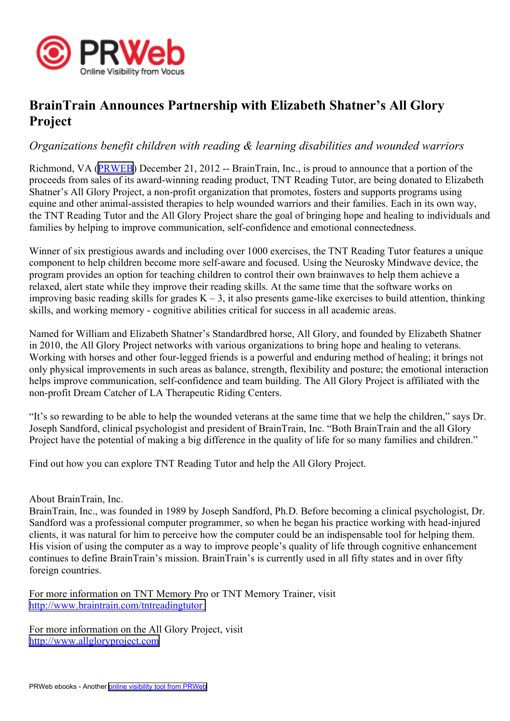

## **BrainTrain Announces Partnership with Elizabeth Shatner's All Glory Project**

## *Organizations benefit children with reading & learning disabilities and wounded warriors*

Richmond, VA [\(PRWEB\)](http://www.prweb.com) December 21, 2012 -- BrainTrain, Inc., is proud to announce that <sup>a</sup> portion of the proceeds from sales of its award-winning reading product, TNT Reading Tutor, are being donated to Elizabeth Shatner's All Glory Project, <sup>a</sup> non-profit organization that promotes, fosters and supports programs using equine and other animal-assisted therapies to help wounded warriors and their families. Each in its own way, the TNT Reading Tutor and the All Glory Project share the goal of bringing hope and healing to individuals and families by helping to improve communication, self-confidence and emotional connectedness.

Winner of six prestigious awards and including over 1000 exercises, the TNT Reading Tutor features <sup>a</sup> unique componen<sup>t</sup> to help children become more self-aware and focused. Using the Neurosky Mindwave device, the program provides an option for teaching children to control their own brainwaves to help them achieve <sup>a</sup> relaxed, alert state while they improve their reading skills. At the same time that the software works on improving basic reading skills for grades  $K - 3$ , it also presents game-like exercises to build attention, thinking skills, and working memory - cognitive abilities critical for success in all academic areas.

Named for William and Elizabeth Shatner's Standardbred horse, All Glory, and founded by Elizabeth Shatner in 2010, the All Glory Project networks with various organizations to bring hope and healing to veterans. Working with horses and other four-legged friends is <sup>a</sup> powerful and enduring method of healing; it brings not only physical improvements in such areas as balance, strength, flexibility and posture; the emotional interaction helps improve communication, self-confidence and team building. The All Glory Project is affiliated with the non-profit Dream Catcher of LA Therapeutic Riding Centers.

"It's so rewarding to be able to help the wounded veterans at the same time that we help the children," says Dr. Joseph Sandford, clinical psychologist and president of BrainTrain, Inc. "Both BrainTrain and the all Glory Project have the potential of making <sup>a</sup> big difference in the quality of life for so many families and children."

Find out how you can explore TNT Reading Tutor and help the All Glory Project.

About BrainTrain, Inc.

BrainTrain, Inc., was founded in 1989 by Joseph Sandford, Ph.D. Before becoming <sup>a</sup> clinical psychologist, Dr. Sandford was <sup>a</sup> professional computer programmer, so when he began his practice working with head-injured clients, it was natural for him to perceive how the computer could be an indispensable tool for helping them. His vision of using the computer as <sup>a</sup> way to improve people's quality of life through cognitive enhancement continues to define BrainTrain's mission. BrainTrain's is currently used in all fifty states and in over fifty foreign countries.

For more information on TNT Memory Pro or TNT Memory Trainer, visit <http://www.braintrain.com/tntreadingtutor>

For more information on the All Glory Project, visit <http://www.allgloryproject.com>